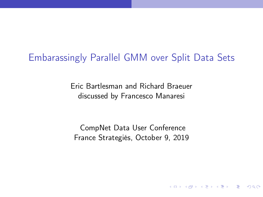## <span id="page-0-0"></span>Embarassingly Parallel GMM over Split Data Sets

Eric Bartlesman and Richard Braeuer discussed by Francesco Manaresi

CompNet Data User Conference France Strategiés, October 9, 2019

**KORK EX KEY CRACK**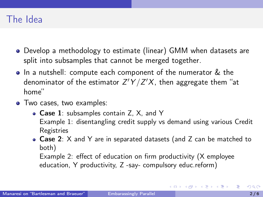## The Idea

- Develop a methodology to estimate (linear) GMM when datasets are split into subsamples that cannot be merged together.
- In a nutshell: compute each component of the numerator & the denominator of the estimator  $Z'Y/Z'X$ , then aggregate them "at home"
- Two cases, two examples:
	- Case 1: subsamples contain Z, X, and Y Example 1: disentangling credit supply vs demand using various Credit Registries
	- Case 2: X and Y are in separated datasets (and Z can be matched to both)

Example 2: effect of education on firm productivity (X employee education, Y productivity, Z -say- compulsory educ.reform)

イロト イ母 トイヨ トイヨ トー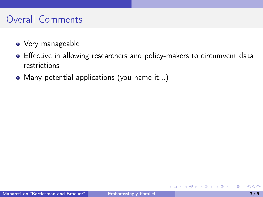# Overall Comments

- Very manageable
- Effective in allowing researchers and policy-makers to circumvent data restrictions
- Many potential applications (you name it...)

ミドマミド

4 D F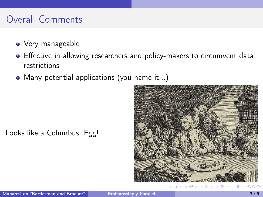# Overall Comments

- Very manageable
- Effective in allowing researchers and policy-makers to circumvent data restrictions
- Many potential applications (you name it...)

Looks like a Columbus' Egg!



化重复 化重复

**K ロ ▶ K 何 ▶**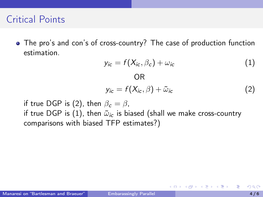#### Critical Points

The pro's and con's of cross-country? The case of production function estimation.

OR

$$
y_{ic} = f(X_{ic}, \beta_c) + \omega_{ic} \tag{1}
$$

$$
y_{ic} = f(X_{ic}, \beta) + \tilde{\omega}_{ic}
$$
 (2)

4 0 8

イ何 トイヨ トイヨ トー

if true DGP is (2), then  $\beta_c = \beta$ , if true DGP is (1), then  $\tilde{\omega}_{ic}$  is biased (shall we make cross-country comparisons with biased TFP estimates?)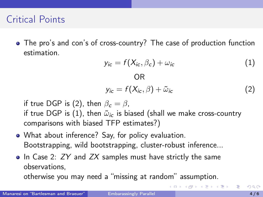## Critical Points

The pro's and con's of cross-country? The case of production function estimation.

$$
y_{ic} = f(X_{ic}, \beta_c) + \omega_{ic} \tag{1}
$$

$$
\mathsf{OR}
$$

$$
y_{ic} = f(X_{ic}, \beta) + \tilde{\omega}_{ic}
$$
 (2)

メロメ メ御 トメ ミメ メ ミメー

if true DGP is (2), then  $\beta_c = \beta$ . if true DGP is (1), then  $\tilde{\omega}_{ic}$  is biased (shall we make cross-country comparisons with biased TFP estimates?)

- What about inference? Say, for policy evaluation. Bootstrapping, wild bootstrapping, cluster-robust inference...
- $\bullet$  In Case 2: ZY and ZX samples must have strictly the same observations,

otherwise you may need a "missing at random" assumption.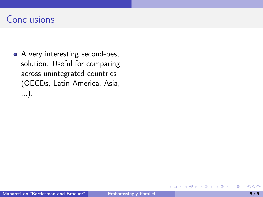# **Conclusions**

• A very interesting second-best solution. Useful for comparing across unintegrated countries (OECDs, Latin America, Asia, ...).

4 D F

重き 重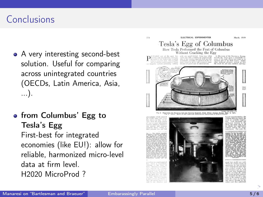# **Conclusions**

- A very interesting second-best solution. Useful for comparing across unintegrated countries (OECDs, Latin America, Asia, ...).
- **•** from Columbus' Egg to Tesla's Egg First-best for integrated economies (like EU!): allow for reliable, harmonized micro-level data at firm level. H2020 MicroProd ?